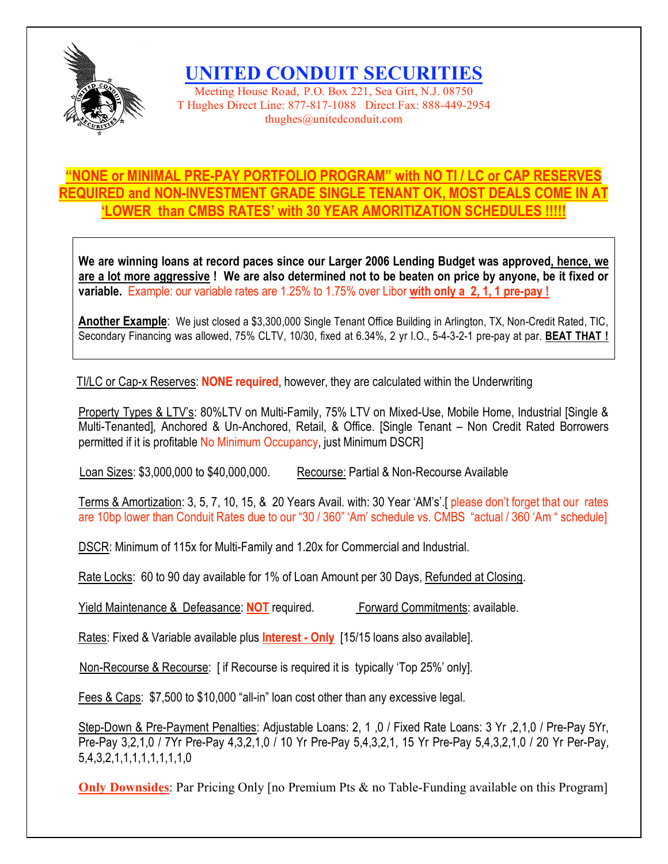

**UNITED CONDUIT SECURITIES**

Meeting House Road, P.O. Box 221, Sea Girt, N.J. 08750 T Hughes Direct Line: 877-817-1088 Direct Fax: 888-449-2954 thughes@unitedconduit.com

## **"NONE or MINIMAL PRE-PAY PORTFOLIO PROGRAM" with NO TI / LC or CAP RESERVES REQUIRED and NON-INVESTMENT GRADE SINGLE TENANT OK, MOST DEALS COME IN AT 'LOWER than CMBS RATES' with 30 YEAR AMORITIZATION SCHEDULES !!!!!**

**We are winning loans at record paces since our Larger 2006 Lending Budget was approved, hence, we** are a lot more aggressive ! We are also determined not to be beaten on price by anyone, be it fixed or **variable.** Example: our variable rates are 1.25% to 1.75% over Libor **with only a 2, 1, 1 pre-pay !**

**Another Example**: We just closed a \$3,300,000 Single Tenant Office Building in Arlington, TX, Non-Credit Rated, TIC, Secondary Financing was allowed, 75% CLTV, 10/30, fixed at 6.34%, 2 yr I.O., 5-4-3-2-1 pre-pay at par. **BEAT THAT !**

TI/LC or Cap-x Reserves: **NONE required**, however, they are calculated within the Underwriting

Property Types & LTV's: 80%LTV on Multi-Family, 75% LTV on Mixed-Use, Mobile Home, Industrial [Single & Multi-Tenanted], Anchored & Un-Anchored, Retail, & Office. [Single Tenant – Non Credit Rated Borrowers permitted if it is profitable No Minimum Occupancy, just Minimum DSCR]

Loan Sizes: \$3,000,000 to \$40,000,000. Recourse: Partial & Non-Recourse Available

Terms & Amortization: 3, 5, 7, 10, 15, & 20 Years Avail. with: 30 Year 'AM's'.[ please don't forget that our rates are 10bp lower than Conduit Rates due to our "30 / 360" 'Am' schedule vs. CMBS "actual / 360 'Am " schedule]

DSCR: Minimum of 115x for Multi-Family and 1.20x for Commercial and Industrial.

Rate Locks: 60 to 90 day available for 1% of Loan Amount per 30 Days, Refunded at Closing.

Yield Maintenance & Defeasance: **NOT** required. Forward Commitments: available.

Rates: Fixed & Variable available plus **Interest - Only** [15/15 loans also available].

Non-Recourse & Recourse: [ if Recourse is required it is typically 'Top 25%' only].

Fees & Caps: \$7,500 to \$10,000 "all-in" loan cost other than any excessive legal.

Step-Down & Pre-Payment Penalties: Adjustable Loans: 2, 1 ,0 / Fixed Rate Loans: 3 Yr ,2,1,0 / Pre-Pay 5Yr, Pre-Pay 3,2,1,0 / 7Yr Pre-Pay 4,3,2,1,0 / 10 Yr Pre-Pay 5,4,3,2,1, 15 Yr Pre-Pay 5,4,3,2,1,0 / 20 Yr Per-Pay, 5,4,3,2,1,1,1,1,1,1,1,1,0

**Only Downsides**: Par Pricing Only [no Premium Pts & no Table-Funding available on this Program]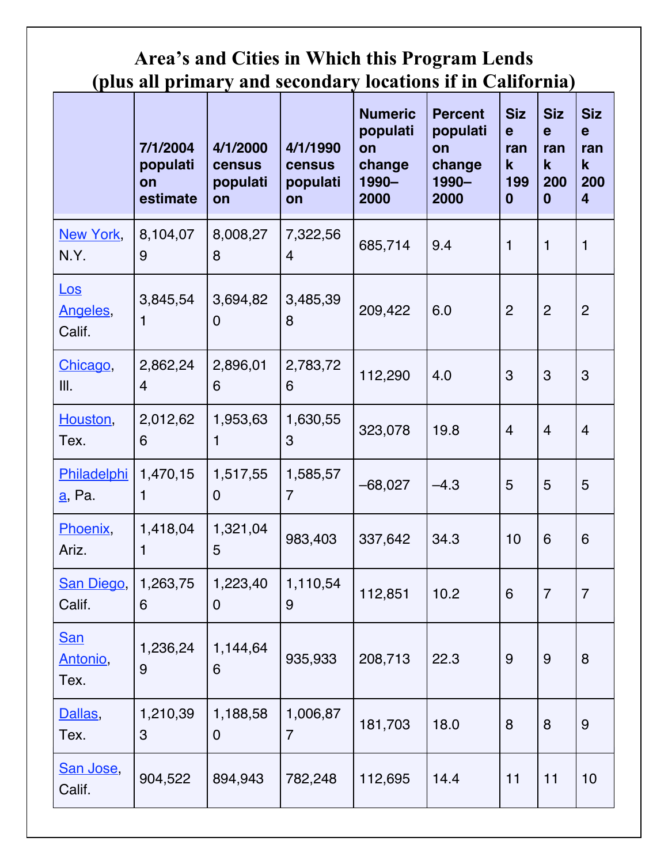## **Area's and Cities in Which this Program Lends (plus all primary and secondary locations if in California)**

|                                | 7/1/2004<br>populati<br>on<br>estimate | 4/1/2000<br><b>census</b><br>populati<br>on | 4/1/1990<br><b>census</b><br>populati<br>on | <b>Numeric</b><br>populati<br>on<br>change<br>1990-<br>2000 | <b>Percent</b><br>populati<br>on<br>change<br>1990-<br>2000 | <b>Siz</b><br>$\mathbf e$<br>ran<br>$\mathbf k$<br>199<br>$\bf{0}$ | <b>Siz</b><br>e<br>ran<br>$\mathbf k$<br>200<br>$\bf{0}$ | <b>Siz</b><br>e<br>ran<br>$\mathbf k$<br>200<br>$\overline{4}$ |
|--------------------------------|----------------------------------------|---------------------------------------------|---------------------------------------------|-------------------------------------------------------------|-------------------------------------------------------------|--------------------------------------------------------------------|----------------------------------------------------------|----------------------------------------------------------------|
| New York,<br>N.Y.              | 8,104,07<br>9                          | 8,008,27<br>8                               | 7,322,56<br>$\overline{4}$                  | 685,714                                                     | 9.4                                                         | 1                                                                  | $\mathbf{1}$                                             | $\mathbf{1}$                                                   |
| LoS<br>Angeles,<br>Calif.      | 3,845,54<br>1                          | 3,694,82<br>$\mathbf 0$                     | 3,485,39<br>8                               | 209,422                                                     | 6.0                                                         | $\overline{2}$                                                     | $\overline{2}$                                           | $\overline{2}$                                                 |
| Chicago,<br>III.               | 2,862,24<br>$\overline{4}$             | 2,896,01<br>6                               | 2,783,72<br>6                               | 112,290                                                     | 4.0                                                         | 3                                                                  | 3                                                        | 3                                                              |
| Houston,<br>Tex.               | 2,012,62<br>6                          | 1,953,63<br>1                               | 1,630,55<br>3                               | 323,078                                                     | 19.8                                                        | $\overline{4}$                                                     | $\overline{4}$                                           | $\overline{4}$                                                 |
| Philadelphi<br><u>a</u> , Pa.  | 1,470,15<br>1                          | 1,517,55<br>$\mathbf 0$                     | 1,585,57<br>$\overline{7}$                  | $-68,027$                                                   | $-4.3$                                                      | 5                                                                  | 5                                                        | 5                                                              |
| Phoenix,<br>Ariz.              | 1,418,04<br>1                          | 1,321,04<br>5                               | 983,403                                     | 337,642                                                     | 34.3                                                        | 10                                                                 | 6                                                        | 6                                                              |
| San Diego,<br>Calif.           | 1,263,75<br>6                          | 1,223,40<br>$\mathbf 0$                     | 1,110,54<br>9                               | 112,851                                                     | 10.2                                                        | 6                                                                  | $\overline{7}$                                           | $\overline{7}$                                                 |
| <u>San</u><br>Antonio,<br>Tex. | 1,236,24<br>$9\,$                      | 1,144,64<br>6                               | 935,933                                     | 208,713                                                     | 22.3                                                        | 9                                                                  | $\boldsymbol{9}$                                         | 8                                                              |
| Dallas,<br>Tex.                | 1,210,39<br>3                          | 1,188,58<br>$\mathbf 0$                     | 1,006,87<br>$\overline{7}$                  | 181,703                                                     | 18.0                                                        | 8                                                                  | 8                                                        | $\boldsymbol{9}$                                               |
| San Jose,<br>Calif.            | 904,522                                | 894,943                                     | 782,248                                     | 112,695                                                     | 14.4                                                        | 11                                                                 | 11                                                       | 10                                                             |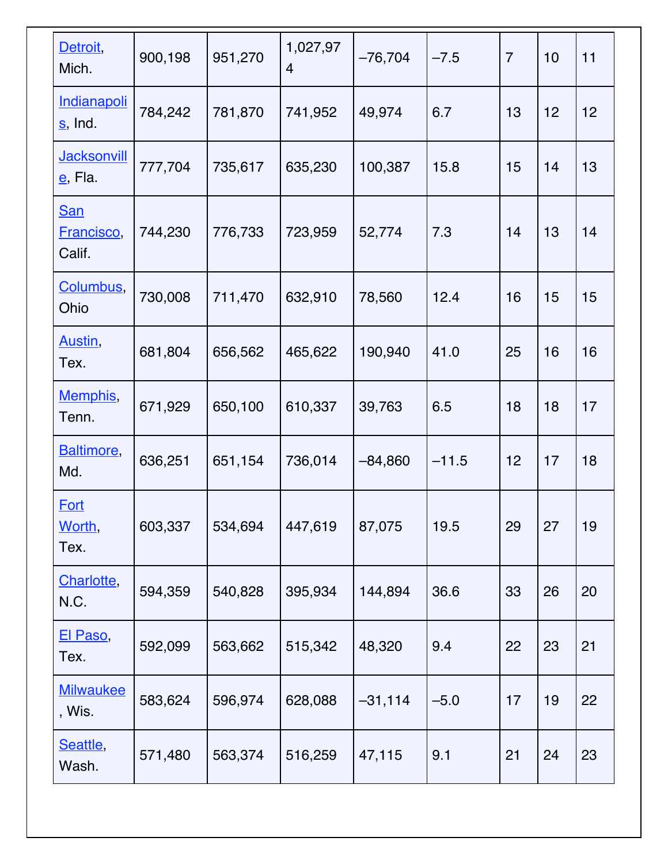| Detroit,<br>Mich.                     | 900,198 | 951,270 | 1,027,97<br>$\overline{4}$ | $-76,704$ | $-7.5$  | $\overline{7}$ | 10 | 11 |
|---------------------------------------|---------|---------|----------------------------|-----------|---------|----------------|----|----|
| <b>Indianapoli</b><br>s, Ind.         | 784,242 | 781,870 | 741,952                    | 49,974    | 6.7     | 13             | 12 | 12 |
| <b>Jacksonvill</b><br><u>e</u> , Fla. | 777,704 | 735,617 | 635,230                    | 100,387   | 15.8    | 15             | 14 | 13 |
| <b>San</b><br>Francisco,<br>Calif.    | 744,230 | 776,733 | 723,959                    | 52,774    | 7.3     | 14             | 13 | 14 |
| Columbus,<br>Ohio                     | 730,008 | 711,470 | 632,910                    | 78,560    | 12.4    | 16             | 15 | 15 |
| Austin,<br>Tex.                       | 681,804 | 656,562 | 465,622                    | 190,940   | 41.0    | 25             | 16 | 16 |
| Memphis,<br>Tenn.                     | 671,929 | 650,100 | 610,337                    | 39,763    | 6.5     | 18             | 18 | 17 |
| Baltimore,<br>Md.                     | 636,251 | 651,154 | 736,014                    | $-84,860$ | $-11.5$ | 12             | 17 | 18 |
| <b>Fort</b><br>Worth,<br>Tex.         | 603,337 | 534,694 | 447,619                    | 87,075    | 19.5    | 29             | 27 | 19 |
| Charlotte,<br>N.C.                    | 594,359 | 540,828 | 395,934                    | 144,894   | 36.6    | 33             | 26 | 20 |
| <u>El Paso,</u><br>Tex.               | 592,099 | 563,662 | 515,342                    | 48,320    | 9.4     | 22             | 23 | 21 |
| <b>Milwaukee</b><br>, Wis.            | 583,624 | 596,974 | 628,088                    | $-31,114$ | $-5.0$  | 17             | 19 | 22 |
| Seattle,<br>Wash.                     | 571,480 | 563,374 | 516,259                    | 47,115    | 9.1     | 21             | 24 | 23 |